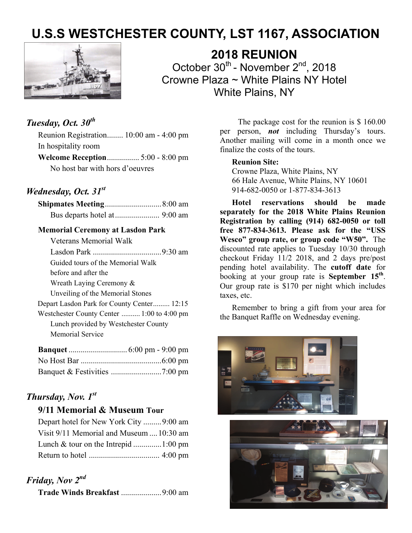# **U.S.S WESTCHESTER COUNTY, LST 1167, ASSOCIATION**



**2018 REUNION**  October 30<sup>th</sup> - November 2<sup>nd</sup>, 2018 Crowne Plaza ~ White Plains NY Hotel White Plains, NY

# *Tuesday, Oct. 30th*

Reunion Registration........ 10:00 am - 4:00 pm In hospitality room **Welcome Reception** ................ 5:00 - 8:00 pm No host bar with hors d'oeuvres

### *Wednesday, Oct. 31st*

#### **Memorial Ceremony at Lasdon Park**

| <b>Veterans Memorial Walk</b>              |
|--------------------------------------------|
|                                            |
| Guided tours of the Memorial Walk          |
| before and after the                       |
| Wreath Laying Ceremony $\&$                |
| Unveiling of the Memorial Stones           |
| Depart Lasdon Park for County Center 12:15 |
| Westchester County Center  1:00 to 4:00 pm |
| Lunch provided by Westchester County       |
| Memorial Service                           |
|                                            |
| ar TT in<br>$\epsilon$ $\alpha$            |

## *Thursday, Nov. 1st*

#### **9/11 Memorial & Museum Tour**

 Depart hotel for New York City ......... 9:00 am Visit 9/11 Memorial and Museum .... 10:30 am Lunch & tour on the Intrepid .............. 1:00 pm Return to hotel ................................... 4:00 pm

## *Friday, Nov 2nd*

**Trade Winds Breakfast** .................... 9:00 am

 The package cost for the reunion is \$ 160.00 per person, *not* including Thursday's tours. Another mailing will come in a month once we finalize the costs of the tours.

#### **Reunion Site:**

Crowne Plaza, White Plains, NY 66 Hale Avenue, White Plains, NY 10601 914-682-0050 or 1-877-834-3613

**Hotel reservations should be made separately for the 2018 White Plains Reunion Registration by calling (914) 682-0050 or toll free 877-834-3613. Please ask for the "USS Wesco" group rate, or group code "W50".** The discounted rate applies to Tuesday 10/30 through checkout Friday 11/2 2018, and 2 days pre/post pending hotel availability. The **cutoff date** for booking at your group rate is **September 15th**. Our group rate is \$170 per night which includes taxes, etc.

Remember to bring a gift from your area for the Banquet Raffle on Wednesday evening.